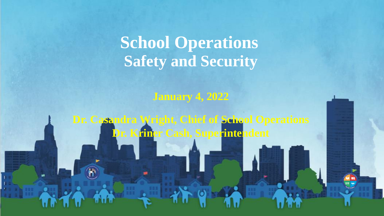**School Operations Safety and Security** 

**January 4, 2022**

**Dr. Casandra Wright, Chief of School Operations Dr. Kriner Cash, Superintendent**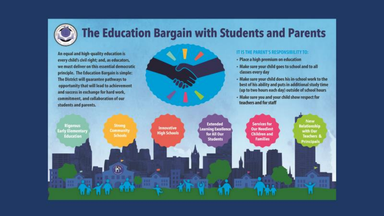

# **The Education Bargain with Students and Parents**

An equal and high-quality education is every child's civil right; and, as educators, we must deliver on this essential democratic principle. The Education Bargain is simple: The District will quarantee pathways to opportunity that will lead to achievement and success in exchange for hard work, commitment, and collaboration of our students and parents.

#### IT IS THE PARENT'S RESPONSIBILITY TO:

- · Place a high premium on education
- . Make sure your child goes to school and to all classes every day
- Make sure your child does his in-school work to the best of his ability and puts in additional study time (up to two hours each day) outside of school hours
- · Make sure you and your child show respect for teachers and for staff

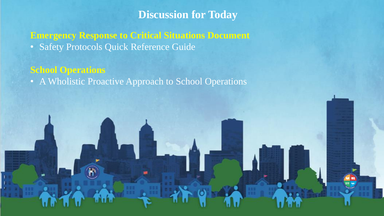# **Discussion for Today**

**Emergency Response to Critical Situations Document** • Safety Protocols Quick Reference Guide

### **School Operations**

• A Wholistic Proactive Approach to School Operations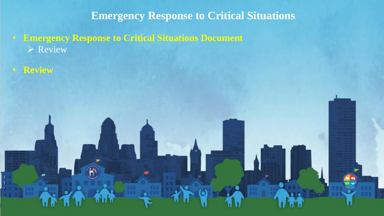**Emergency Response to Critical Situations**

• **Emergency Response to Critical Situations Document**  Review

• **Review**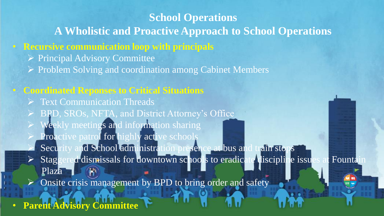## **School Operations**

# **A Wholistic and Proactive Approach to School Operations**

#### • **Recursive communication loop with principals**

- ▶ Principal Advisory Committee
- $\triangleright$  Problem Solving and coordination among Cabinet Members

#### • **Coordinated Reponses to Critical Situations**

- $\triangleright$  Text Communication Threads
- $\triangleright$  BPD, SROs, NFTA, and District Attorney's Office
- $\triangleright$  Weekly meetings and information sharing
- $\triangleright$  Proactive patrol for highly active schools
- Security and School administration presence at bus and train stops  $\triangleright$  Staggered dismissals for downtown schools to eradicate discipline issues at Fountain  $^{\prime\prime\prime}$ 
	- Plaza 1
- $\triangleright$  Onsite crisis management by BPD to bring order and safety

• **Parent Advisory Committee**